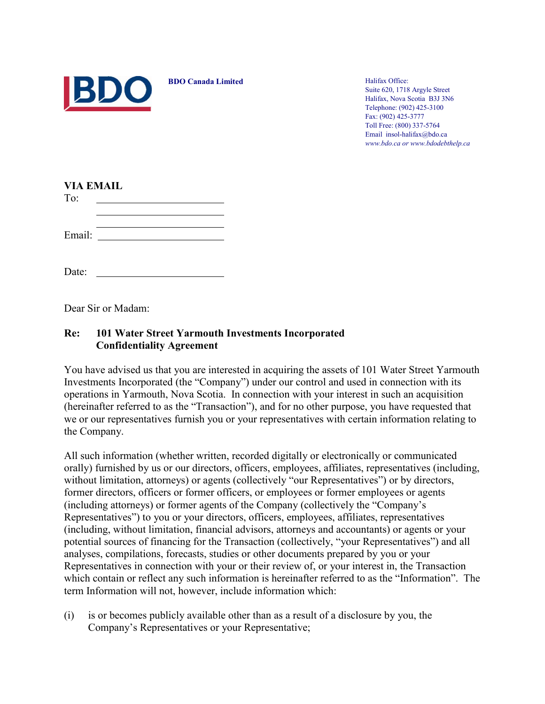

**BDO Canada Limited** Halifax Office:

Suite 620, 1718 Argyle Street Halifax, Nova Scotia B3J 3N6 Telephone: (902) 425-3100 Fax: (902) 425-3777 Toll Free: (800) 337-5764 Email insol-halifax@bdo.ca *www.bdo.ca or www.bdodebthelp.ca*

| <b>VIA EMAIL</b> |
|------------------|
|                  |

| -- |  |
|----|--|
|    |  |
|    |  |

| Email: |  |
|--------|--|

Date:

Dear Sir or Madam:

## **Re: 101 Water Street Yarmouth Investments Incorporated Confidentiality Agreement**

You have advised us that you are interested in acquiring the assets of 101 Water Street Yarmouth Investments Incorporated (the "Company") under our control and used in connection with its operations in Yarmouth, Nova Scotia. In connection with your interest in such an acquisition (hereinafter referred to as the "Transaction"), and for no other purpose, you have requested that we or our representatives furnish you or your representatives with certain information relating to the Company.

All such information (whether written, recorded digitally or electronically or communicated orally) furnished by us or our directors, officers, employees, affiliates, representatives (including, without limitation, attorneys) or agents (collectively "our Representatives") or by directors, former directors, officers or former officers, or employees or former employees or agents (including attorneys) or former agents of the Company (collectively the "Company's Representatives") to you or your directors, officers, employees, affiliates, representatives (including, without limitation, financial advisors, attorneys and accountants) or agents or your potential sources of financing for the Transaction (collectively, "your Representatives") and all analyses, compilations, forecasts, studies or other documents prepared by you or your Representatives in connection with your or their review of, or your interest in, the Transaction which contain or reflect any such information is hereinafter referred to as the "Information". The term Information will not, however, include information which:

(i) is or becomes publicly available other than as a result of a disclosure by you, the Company's Representatives or your Representative;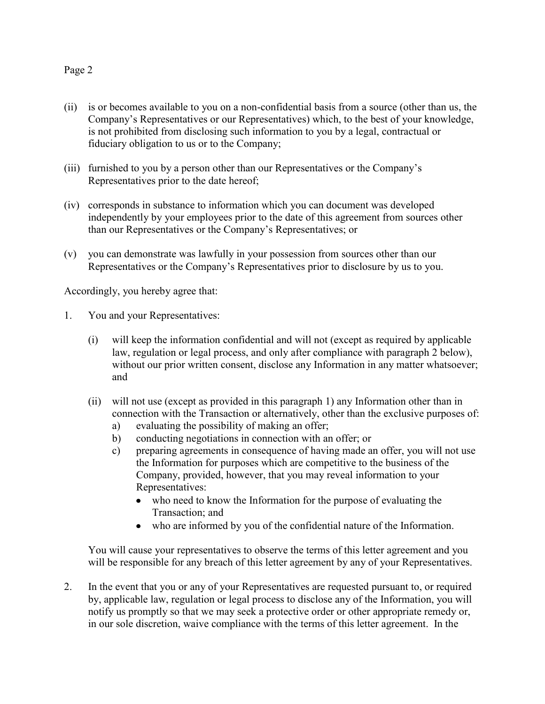## Page 2

- (ii) is or becomes available to you on a non-confidential basis from a source (other than us, the Company's Representatives or our Representatives) which, to the best of your knowledge, is not prohibited from disclosing such information to you by a legal, contractual or fiduciary obligation to us or to the Company;
- (iii) furnished to you by a person other than our Representatives or the Company's Representatives prior to the date hereof;
- (iv) corresponds in substance to information which you can document was developed independently by your employees prior to the date of this agreement from sources other than our Representatives or the Company's Representatives; or
- (v) you can demonstrate was lawfully in your possession from sources other than our Representatives or the Company's Representatives prior to disclosure by us to you.

Accordingly, you hereby agree that:

- 1. You and your Representatives:
	- (i) will keep the information confidential and will not (except as required by applicable law, regulation or legal process, and only after compliance with paragraph 2 below), without our prior written consent, disclose any Information in any matter whatsoever; and
	- (ii) will not use (except as provided in this paragraph 1) any Information other than in connection with the Transaction or alternatively, other than the exclusive purposes of:
		- a) evaluating the possibility of making an offer;
		- b) conducting negotiations in connection with an offer; or
		- c) preparing agreements in consequence of having made an offer, you will not use the Information for purposes which are competitive to the business of the Company, provided, however, that you may reveal information to your Representatives:
			- who need to know the Information for the purpose of evaluating the Transaction; and
			- who are informed by you of the confidential nature of the Information.

You will cause your representatives to observe the terms of this letter agreement and you will be responsible for any breach of this letter agreement by any of your Representatives.

2. In the event that you or any of your Representatives are requested pursuant to, or required by, applicable law, regulation or legal process to disclose any of the Information, you will notify us promptly so that we may seek a protective order or other appropriate remedy or, in our sole discretion, waive compliance with the terms of this letter agreement. In the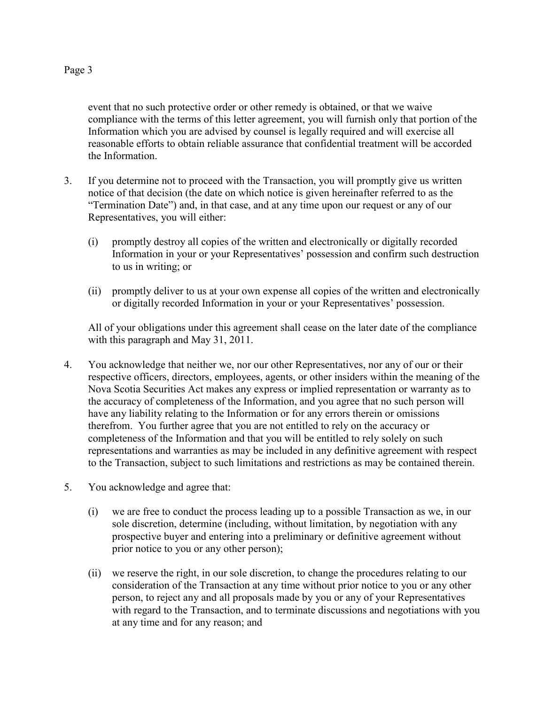event that no such protective order or other remedy is obtained, or that we waive compliance with the terms of this letter agreement, you will furnish only that portion of the Information which you are advised by counsel is legally required and will exercise all reasonable efforts to obtain reliable assurance that confidential treatment will be accorded the Information.

- 3. If you determine not to proceed with the Transaction, you will promptly give us written notice of that decision (the date on which notice is given hereinafter referred to as the "Termination Date") and, in that case, and at any time upon our request or any of our Representatives, you will either:
	- (i) promptly destroy all copies of the written and electronically or digitally recorded Information in your or your Representatives' possession and confirm such destruction to us in writing; or
	- (ii) promptly deliver to us at your own expense all copies of the written and electronically or digitally recorded Information in your or your Representatives' possession.

All of your obligations under this agreement shall cease on the later date of the compliance with this paragraph and May 31, 2011.

- 4. You acknowledge that neither we, nor our other Representatives, nor any of our or their respective officers, directors, employees, agents, or other insiders within the meaning of the Nova Scotia Securities Act makes any express or implied representation or warranty as to the accuracy of completeness of the Information, and you agree that no such person will have any liability relating to the Information or for any errors therein or omissions therefrom. You further agree that you are not entitled to rely on the accuracy or completeness of the Information and that you will be entitled to rely solely on such representations and warranties as may be included in any definitive agreement with respect to the Transaction, subject to such limitations and restrictions as may be contained therein.
- 5. You acknowledge and agree that:
	- (i) we are free to conduct the process leading up to a possible Transaction as we, in our sole discretion, determine (including, without limitation, by negotiation with any prospective buyer and entering into a preliminary or definitive agreement without prior notice to you or any other person);
	- (ii) we reserve the right, in our sole discretion, to change the procedures relating to our consideration of the Transaction at any time without prior notice to you or any other person, to reject any and all proposals made by you or any of your Representatives with regard to the Transaction, and to terminate discussions and negotiations with you at any time and for any reason; and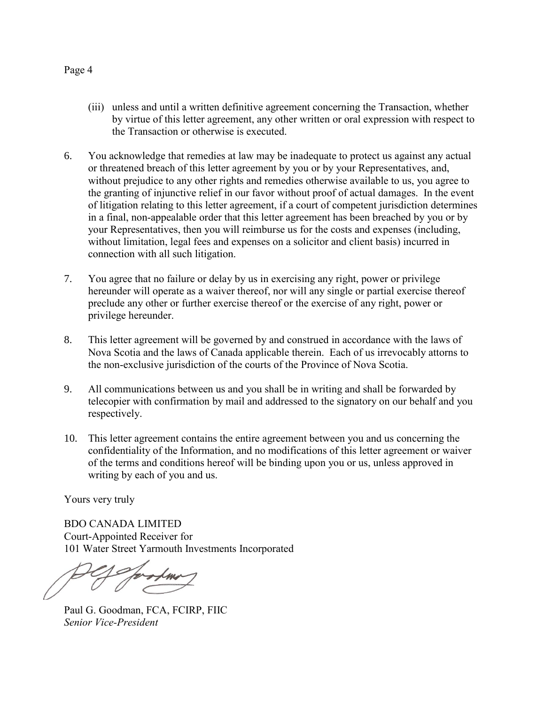Page 4

- (iii) unless and until a written definitive agreement concerning the Transaction, whether by virtue of this letter agreement, any other written or oral expression with respect to the Transaction or otherwise is executed.
- 6. You acknowledge that remedies at law may be inadequate to protect us against any actual or threatened breach of this letter agreement by you or by your Representatives, and, without prejudice to any other rights and remedies otherwise available to us, you agree to the granting of injunctive relief in our favor without proof of actual damages. In the event of litigation relating to this letter agreement, if a court of competent jurisdiction determines in a final, non-appealable order that this letter agreement has been breached by you or by your Representatives, then you will reimburse us for the costs and expenses (including, without limitation, legal fees and expenses on a solicitor and client basis) incurred in connection with all such litigation.
- 7. You agree that no failure or delay by us in exercising any right, power or privilege hereunder will operate as a waiver thereof, nor will any single or partial exercise thereof preclude any other or further exercise thereof or the exercise of any right, power or privilege hereunder.
- 8. This letter agreement will be governed by and construed in accordance with the laws of Nova Scotia and the laws of Canada applicable therein. Each of us irrevocably attorns to the non-exclusive jurisdiction of the courts of the Province of Nova Scotia.
- 9. All communications between us and you shall be in writing and shall be forwarded by telecopier with confirmation by mail and addressed to the signatory on our behalf and you respectively.
- 10. This letter agreement contains the entire agreement between you and us concerning the confidentiality of the Information, and no modifications of this letter agreement or waiver of the terms and conditions hereof will be binding upon you or us, unless approved in writing by each of you and us.

Yours very truly

BDO CANADA LIMITED Court-Appointed Receiver for 101 Water Street Yarmouth Investments Incorporated

Paul G. Goodman, FCA, FCIRP, FIIC *Senior Vice-President*